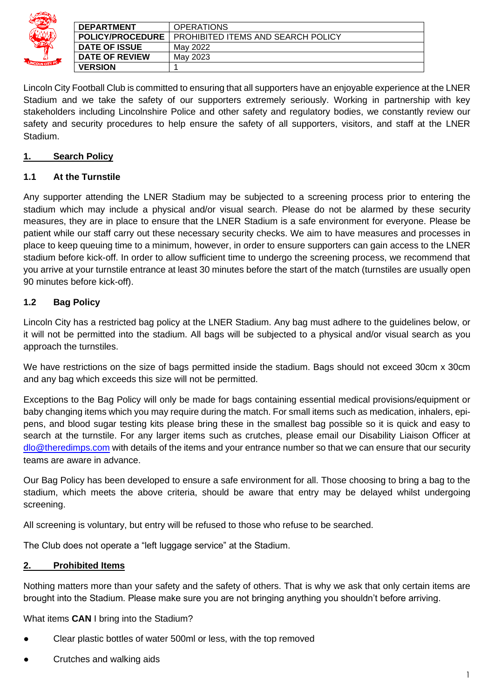| LINCOLN CITY FC |
|-----------------|

| <b>DEPARTMENT</b>    |                         | <b>OPERATIONS</b>                  |
|----------------------|-------------------------|------------------------------------|
|                      | <b>POLICY/PROCEDURE</b> | PROHIBITED ITEMS AND SEARCH POLICY |
| <b>DATE OF ISSUE</b> |                         | Mav 2022                           |
|                      | <b>DATE OF REVIEW</b>   | May 2023                           |
| <b>VERSION</b>       |                         |                                    |

Lincoln City Football Club is committed to ensuring that all supporters have an enjoyable experience at the LNER Stadium and we take the safety of our supporters extremely seriously. Working in partnership with key stakeholders including Lincolnshire Police and other safety and regulatory bodies, we constantly review our safety and security procedures to help ensure the safety of all supporters, visitors, and staff at the LNER Stadium.

## **1. Search Policy**

## **1.1 At the Turnstile**

Any supporter attending the LNER Stadium may be subjected to a screening process prior to entering the stadium which may include a physical and/or visual search. Please do not be alarmed by these security measures, they are in place to ensure that the LNER Stadium is a safe environment for everyone. Please be patient while our staff carry out these necessary security checks. We aim to have measures and processes in place to keep queuing time to a minimum, however, in order to ensure supporters can gain access to the LNER stadium before kick-off. In order to allow sufficient time to undergo the screening process, we recommend that you arrive at your turnstile entrance at least 30 minutes before the start of the match (turnstiles are usually open 90 minutes before kick-off).

# **1.2 Bag Policy**

Lincoln City has a restricted bag policy at the LNER Stadium. Any bag must adhere to the guidelines below, or it will not be permitted into the stadium. All bags will be subjected to a physical and/or visual search as you approach the turnstiles.

We have restrictions on the size of bags permitted inside the stadium. Bags should not exceed 30cm x 30cm and any bag which exceeds this size will not be permitted.

Exceptions to the Bag Policy will only be made for bags containing essential medical provisions/equipment or baby changing items which you may require during the match. For small items such as medication, inhalers, epipens, and blood sugar testing kits please bring these in the smallest bag possible so it is quick and easy to search at the turnstile. For any larger items such as crutches, please email our Disability Liaison Officer at [dlo@theredimps.com](mailto:dlo@theredimps.com) with details of the items and your entrance number so that we can ensure that our security teams are aware in advance.

Our Bag Policy has been developed to ensure a safe environment for all. Those choosing to bring a bag to the stadium, which meets the above criteria, should be aware that entry may be delayed whilst undergoing screening.

All screening is voluntary, but entry will be refused to those who refuse to be searched.

The Club does not operate a "left luggage service" at the Stadium.

#### **2. Prohibited Items**

Nothing matters more than your safety and the safety of others. That is why we ask that only certain items are brought into the Stadium. Please make sure you are not bringing anything you shouldn't before arriving.

What items **CAN** I bring into the Stadium?

- Clear plastic bottles of water 500ml or less, with the top removed
- Crutches and walking aids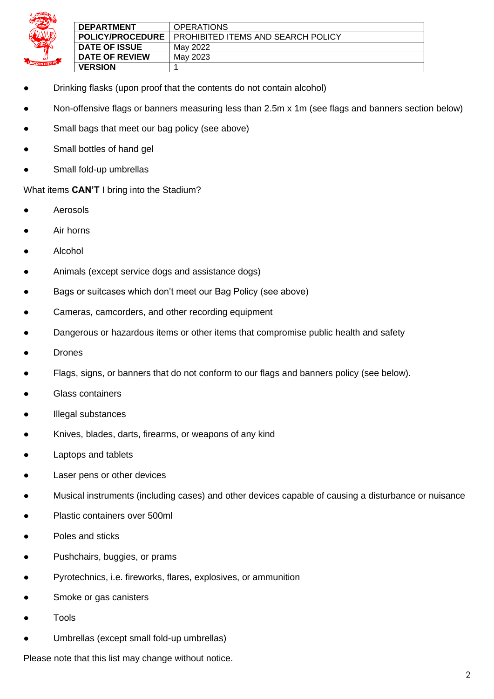

| <b>DEPARTMENT</b>       | <b>OPERATIONS</b>                         |
|-------------------------|-------------------------------------------|
| <b>POLICY/PROCEDURE</b> | <b>PROHIBITED ITEMS AND SEARCH POLICY</b> |
| <b>DATE OF ISSUE</b>    | Mav 2022                                  |
| DATE OF REVIEW          | May 2023                                  |
|                         |                                           |
| <b>VERSION</b>          |                                           |

- Drinking flasks (upon proof that the contents do not contain alcohol)
- Non-offensive flags or banners measuring less than 2.5m x 1m (see flags and banners section below)
- Small bags that meet our bag policy (see above)
- Small bottles of hand gel
- Small fold-up umbrellas

What items **CAN'T** I bring into the Stadium?

- **Aerosols**
- Air horns
- **Alcohol**
- Animals (except service dogs and assistance dogs)
- Bags or suitcases which don't meet our Bag Policy (see above)
- Cameras, camcorders, and other recording equipment
- Dangerous or hazardous items or other items that compromise public health and safety
- **Drones**
- Flags, signs, or banners that do not conform to our flags and banners policy (see below).
- Glass containers
- Illegal substances
- Knives, blades, darts, firearms, or weapons of any kind
- Laptops and tablets
- Laser pens or other devices
- Musical instruments (including cases) and other devices capable of causing a disturbance or nuisance
- Plastic containers over 500ml
- Poles and sticks
- Pushchairs, buggies, or prams
- Pyrotechnics, i.e. fireworks, flares, explosives, or ammunition
- Smoke or gas canisters
- **Tools**
- Umbrellas (except small fold-up umbrellas)

Please note that this list may change without notice.